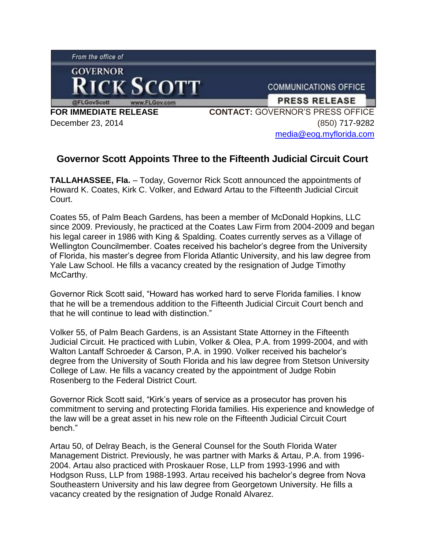From the office of



**COMMUNICATIONS OFFICE** 

**PRESS RELEASE** 

**FOR IMMEDIATE RELEASE** December 23, 2014

**CONTACT:** GOVERNOR'S PRESS OFFICE (850) 717-9282 [media@eog.myflorida.com](mailto:media@eog.myflorida.com)

## **Governor Scott Appoints Three to the Fifteenth Judicial Circuit Court**

**TALLAHASSEE, Fla.** – Today, Governor Rick Scott announced the appointments of Howard K. Coates, Kirk C. Volker, and Edward Artau to the Fifteenth Judicial Circuit Court.

Coates 55, of Palm Beach Gardens, has been a member of McDonald Hopkins, LLC since 2009. Previously, he practiced at the Coates Law Firm from 2004-2009 and began his legal career in 1986 with King & Spalding. Coates currently serves as a Village of Wellington Councilmember. Coates received his bachelor's degree from the University of Florida, his master's degree from Florida Atlantic University, and his law degree from Yale Law School. He fills a vacancy created by the resignation of Judge Timothy McCarthy.

Governor Rick Scott said, "Howard has worked hard to serve Florida families. I know that he will be a tremendous addition to the Fifteenth Judicial Circuit Court bench and that he will continue to lead with distinction."

Volker 55, of Palm Beach Gardens, is an Assistant State Attorney in the Fifteenth Judicial Circuit. He practiced with Lubin, Volker & Olea, P.A. from 1999-2004, and with Walton Lantaff Schroeder & Carson, P.A. in 1990. Volker received his bachelor's degree from the University of South Florida and his law degree from Stetson University College of Law. He fills a vacancy created by the appointment of Judge Robin Rosenberg to the Federal District Court.

Governor Rick Scott said, "Kirk's years of service as a prosecutor has proven his commitment to serving and protecting Florida families. His experience and knowledge of the law will be a great asset in his new role on the Fifteenth Judicial Circuit Court bench."

Artau 50, of Delray Beach, is the General Counsel for the South Florida Water Management District. Previously, he was partner with Marks & Artau, P.A. from 1996- 2004. Artau also practiced with Proskauer Rose, LLP from 1993-1996 and with Hodgson Russ, LLP from 1988-1993. Artau received his bachelor's degree from Nova Southeastern University and his law degree from Georgetown University. He fills a vacancy created by the resignation of Judge Ronald Alvarez.